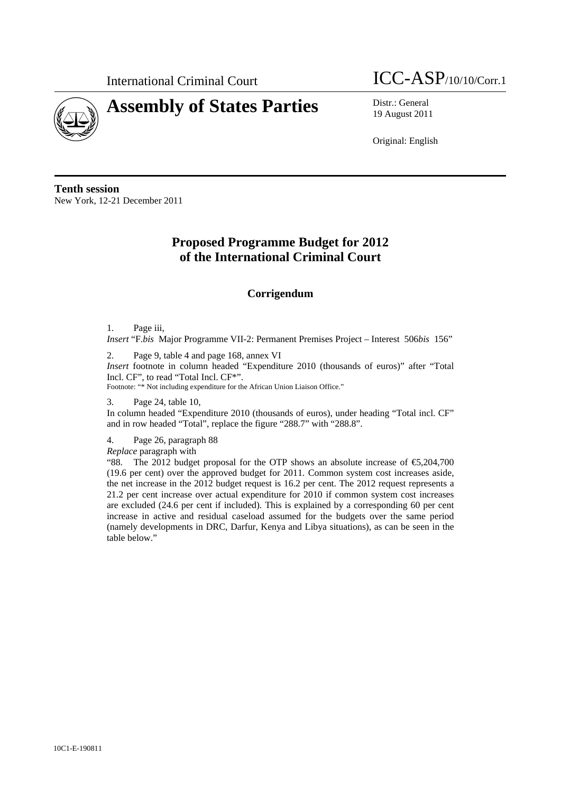

# **Assembly of States Parties** Distr.: General



19 August 2011

Original: English

**Tenth session**  New York, 12-21 December 2011

## **Proposed Programme Budget for 2012 of the International Criminal Court**

### **Corrigendum**

1. Page iii,

*Insert* "F.*bis* Major Programme VII-2: Permanent Premises Project – Interest 506*bis* 156"

2. Page 9, table 4 and page 168, annex VI

*Insert* footnote in column headed "Expenditure 2010 (thousands of euros)" after "Total Incl. CF", to read "Total Incl. CF\*".

Footnote: "\* Not including expenditure for the African Union Liaison Office."

3. Page 24, table 10,

In column headed "Expenditure 2010 (thousands of euros), under heading "Total incl. CF" and in row headed "Total", replace the figure "288.7" with "288.8".

4. Page 26, paragraph 88

*Replace* paragraph with

"88. The 2012 budget proposal for the OTP shows an absolute increase of  $\epsilon$ 5,204,700 (19.6 per cent) over the approved budget for 2011. Common system cost increases aside, the net increase in the 2012 budget request is 16.2 per cent. The 2012 request represents a 21.2 per cent increase over actual expenditure for 2010 if common system cost increases are excluded (24.6 per cent if included). This is explained by a corresponding 60 per cent increase in active and residual caseload assumed for the budgets over the same period (namely developments in DRC, Darfur, Kenya and Libya situations), as can be seen in the table below."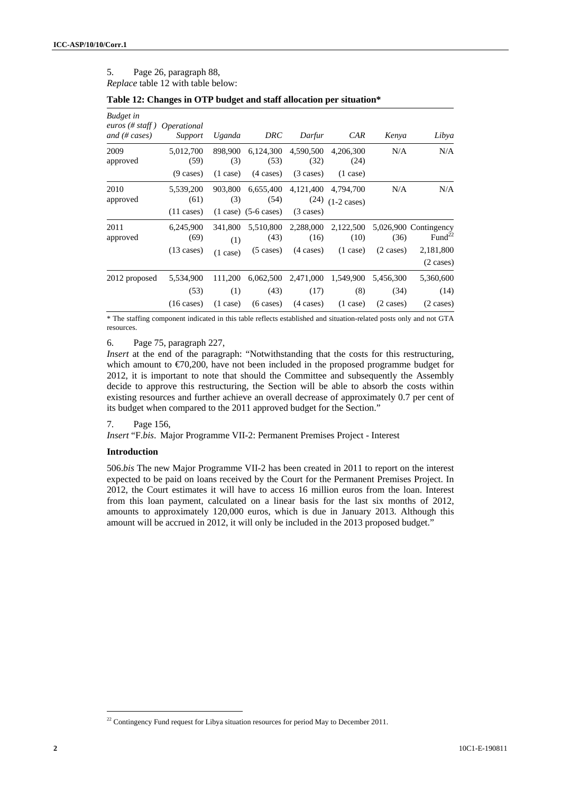#### 5. Page 26, paragraph 88, *Replace* table 12 with table below:

| <b>Budget</b> in<br>euros (# staff)<br>and $(\# \; cases)$ | <i>Operational</i><br>Support             | Uganda                               | DRC                                             | Darfur                                   | CAR                                     | Kenya                | Libya                                                                                        |
|------------------------------------------------------------|-------------------------------------------|--------------------------------------|-------------------------------------------------|------------------------------------------|-----------------------------------------|----------------------|----------------------------------------------------------------------------------------------|
| 2009<br>approved                                           | 5,012,700<br>(59)                         | 898,900<br>(3)                       | 6,124,300<br>(53)                               | 4,590,500<br>(32)                        | 4.206.300<br>(24)                       | N/A                  | N/A                                                                                          |
|                                                            | $(9 \text{ cases})$                       | $(1 \text{ case})$                   | $(4 \text{ cases})$                             | $(3 \text{ cases})$                      | $(1 \text{ case})$                      |                      |                                                                                              |
| 2010<br>approved                                           | 5,539,200<br>(61)<br>$(11 \text{ cases})$ | 903,800<br>(3)                       | 6,655,400<br>(54)<br>$(1 \case)$ $(5-6 \cases)$ | 4,121,400<br>(24)<br>$(3 \text{ cases})$ | 4,794,700<br>$(1-2 \text{ cases})$      | N/A                  | N/A                                                                                          |
| 2011<br>approved                                           | 6.245.900<br>(69)<br>$(13 \text{ cases})$ | 341,800<br>(1)<br>$(1 \text{ case})$ | 5,510,800<br>(43)<br>$(5 \cases)$               | 2,288,000<br>(16)<br>$(4 \text{ cases})$ | 2,122,500<br>(10)<br>$(1 \text{ case})$ | (36)<br>$(2 \cases)$ | 5,026,900 Contingency<br>Fund <sup><math>22</math></sup><br>2,181,800<br>$(2 \text{ cases})$ |
| 2012 proposed                                              | 5,534,900<br>(53)                         | 111,200<br>(1)                       | 6,062,500<br>(43)                               | 2,471,000<br>(17)                        | 1,549,900<br>(8)                        | 5.456.300<br>(34)    | 5,360,600<br>(14)                                                                            |
|                                                            | $(16 \text{ cases})$                      | $(1 \text{ case})$                   | $(6 \text{ cases})$                             | $(4 \text{ cases})$                      | $(1 \text{ case})$                      | $(2 \cases)$         | $(2 \cases)$                                                                                 |

| Table 12: Changes in OTP budget and staff allocation per situation* |  |  |  |
|---------------------------------------------------------------------|--|--|--|
|---------------------------------------------------------------------|--|--|--|

\* The staffing component indicated in this table reflects established and situation-related posts only and not GTA resources.

6. Page 75, paragraph 227,

*Insert* at the end of the paragraph: "Notwithstanding that the costs for this restructuring, which amount to  $\epsilon$ 70,200, have not been included in the proposed programme budget for 2012, it is important to note that should the Committee and subsequently the Assembly decide to approve this restructuring, the Section will be able to absorb the costs within existing resources and further achieve an overall decrease of approximately 0.7 per cent of its budget when compared to the 2011 approved budget for the Section."

#### 7. Page 156,

*Insert* "F.*bis*. Major Programme VII-2: Permanent Premises Project - Interest

#### **Introduction**

506.*bis* The new Major Programme VII-2 has been created in 2011 to report on the interest expected to be paid on loans received by the Court for the Permanent Premises Project. In 2012, the Court estimates it will have to access 16 million euros from the loan. Interest from this loan payment, calculated on a linear basis for the last six months of 2012, amounts to approximately 120,000 euros, which is due in January 2013. Although this amount will be accrued in 2012, it will only be included in the 2013 proposed budget."

 $\overline{a}$ 

<sup>&</sup>lt;sup>22</sup> Contingency Fund request for Libya situation resources for period May to December 2011.